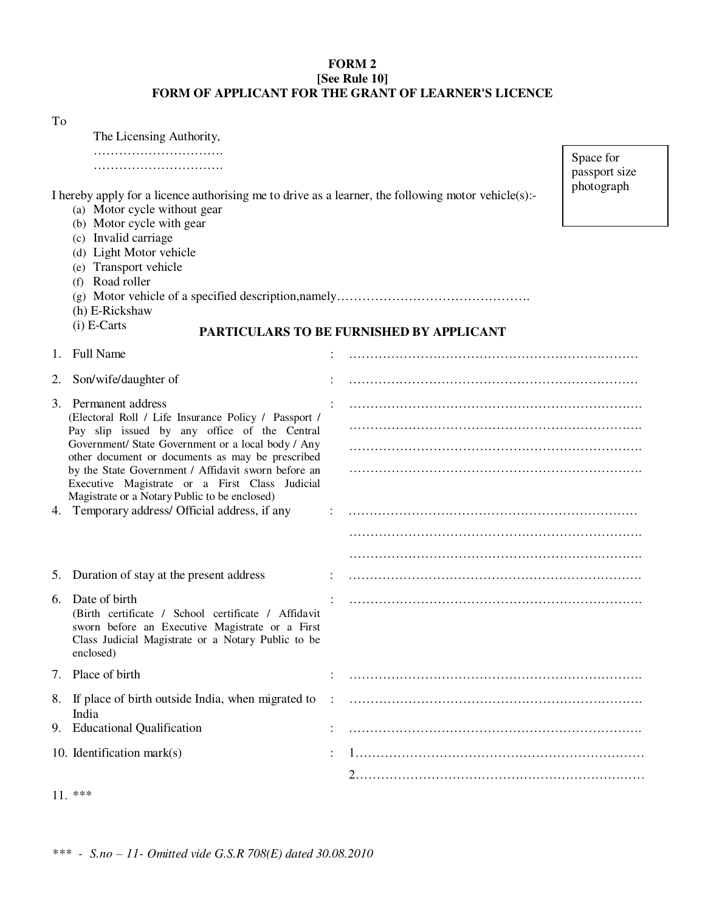## **FORM 2 [See Rule 10] FORM OF APPLICANT FOR THE GRANT OF LEARNER'S LICENCE**

|    | The Licensing Authority,                                                                                                                                                                                                                                                                                                                                                                                                                           |                   |                                          |                                          |
|----|----------------------------------------------------------------------------------------------------------------------------------------------------------------------------------------------------------------------------------------------------------------------------------------------------------------------------------------------------------------------------------------------------------------------------------------------------|-------------------|------------------------------------------|------------------------------------------|
|    | I hereby apply for a licence authorising me to drive as a learner, the following motor vehicle(s):-<br>(a) Motor cycle without gear                                                                                                                                                                                                                                                                                                                |                   |                                          | Space for<br>passport size<br>photograph |
|    | (b) Motor cycle with gear<br>(c) Invalid carriage<br>(d) Light Motor vehicle<br>(e) Transport vehicle<br>(f) Road roller<br>(h) E-Rickshaw<br>$(i)$ E-Carts                                                                                                                                                                                                                                                                                        |                   | PARTICULARS TO BE FURNISHED BY APPLICANT |                                          |
|    | 1. Full Name                                                                                                                                                                                                                                                                                                                                                                                                                                       |                   |                                          |                                          |
|    | 2. Son/wife/daughter of                                                                                                                                                                                                                                                                                                                                                                                                                            |                   |                                          |                                          |
|    | 3. Permanent address<br>(Electoral Roll / Life Insurance Policy / Passport /<br>Pay slip issued by any office of the Central<br>Government/ State Government or a local body / Any<br>other document or documents as may be prescribed<br>by the State Government / Affidavit sworn before an<br>Executive Magistrate or a First Class Judicial<br>Magistrate or a Notary Public to be enclosed)<br>4. Temporary address/ Official address, if any |                   |                                          |                                          |
|    |                                                                                                                                                                                                                                                                                                                                                                                                                                                    |                   |                                          |                                          |
|    |                                                                                                                                                                                                                                                                                                                                                                                                                                                    |                   |                                          |                                          |
|    |                                                                                                                                                                                                                                                                                                                                                                                                                                                    |                   |                                          |                                          |
|    | 5. Duration of stay at the present address                                                                                                                                                                                                                                                                                                                                                                                                         |                   |                                          |                                          |
| 6. | Date of birth<br>(Birth certificate / School certificate / Affidavit<br>sworn before an Executive Magistrate or a First<br>Class Judicial Magistrate or a Notary Public to be<br>enclosed)                                                                                                                                                                                                                                                         |                   |                                          |                                          |
|    | 7. Place of birth                                                                                                                                                                                                                                                                                                                                                                                                                                  |                   |                                          |                                          |
|    | 8. If place of birth outside India, when migrated to<br>India                                                                                                                                                                                                                                                                                                                                                                                      | $\sim$ 100 $\sim$ |                                          |                                          |
|    | 9. Educational Qualification                                                                                                                                                                                                                                                                                                                                                                                                                       |                   |                                          |                                          |
|    | 10. Identification mark $(s)$                                                                                                                                                                                                                                                                                                                                                                                                                      |                   |                                          |                                          |
|    |                                                                                                                                                                                                                                                                                                                                                                                                                                                    |                   |                                          |                                          |

11. \*\*\*

To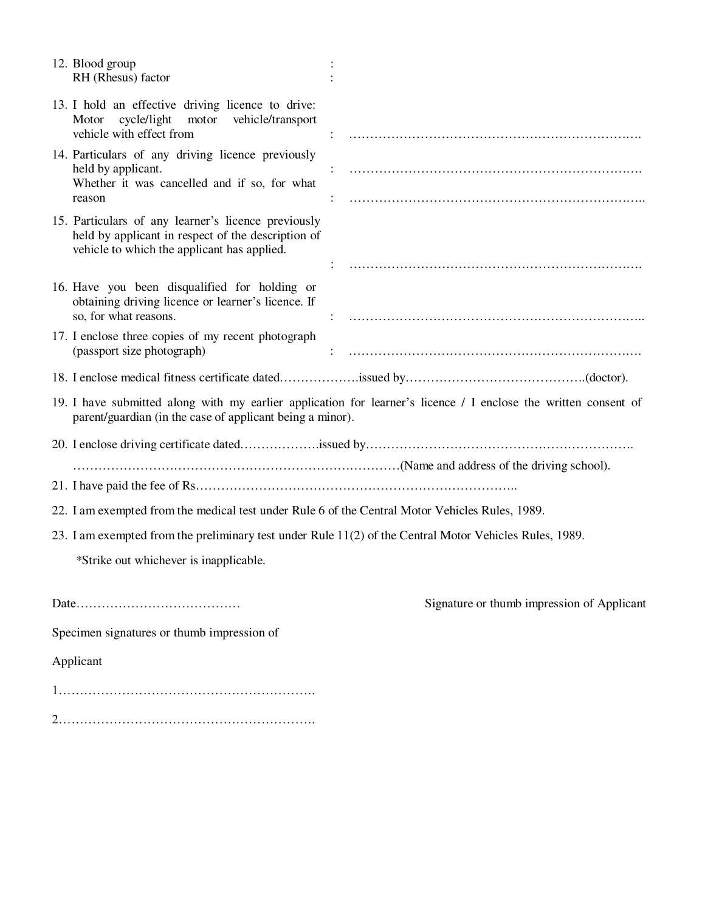| 12. Blood group<br>RH (Rhesus) factor                                                                                                                    |                                                                                                                 |  |  |  |
|----------------------------------------------------------------------------------------------------------------------------------------------------------|-----------------------------------------------------------------------------------------------------------------|--|--|--|
| 13. I hold an effective driving licence to drive:<br>cycle/light motor vehicle/transport<br>Motor<br>vehicle with effect from                            |                                                                                                                 |  |  |  |
| 14. Particulars of any driving licence previously<br>held by applicant.<br>Whether it was cancelled and if so, for what<br>reason                        |                                                                                                                 |  |  |  |
| 15. Particulars of any learner's licence previously<br>held by applicant in respect of the description of<br>vehicle to which the applicant has applied. |                                                                                                                 |  |  |  |
| 16. Have you been disqualified for holding or<br>obtaining driving licence or learner's licence. If<br>so, for what reasons.                             |                                                                                                                 |  |  |  |
| 17. I enclose three copies of my recent photograph<br>(passport size photograph)                                                                         |                                                                                                                 |  |  |  |
|                                                                                                                                                          |                                                                                                                 |  |  |  |
| parent/guardian (in the case of applicant being a minor).                                                                                                | 19. I have submitted along with my earlier application for learner's licence / I enclose the written consent of |  |  |  |
|                                                                                                                                                          |                                                                                                                 |  |  |  |
|                                                                                                                                                          | (Name and address of the driving school).                                                                       |  |  |  |
| 22. I am exempted from the medical test under Rule 6 of the Central Motor Vehicles Rules, 1989.                                                          |                                                                                                                 |  |  |  |
| 23. I am exempted from the preliminary test under Rule 11(2) of the Central Motor Vehicles Rules, 1989.                                                  |                                                                                                                 |  |  |  |
| *Strike out whichever is inapplicable.                                                                                                                   |                                                                                                                 |  |  |  |
|                                                                                                                                                          | Signature or thumb impression of Applicant                                                                      |  |  |  |
| Specimen signatures or thumb impression of                                                                                                               |                                                                                                                 |  |  |  |
| Applicant                                                                                                                                                |                                                                                                                 |  |  |  |
|                                                                                                                                                          |                                                                                                                 |  |  |  |

2…………………………………………………….